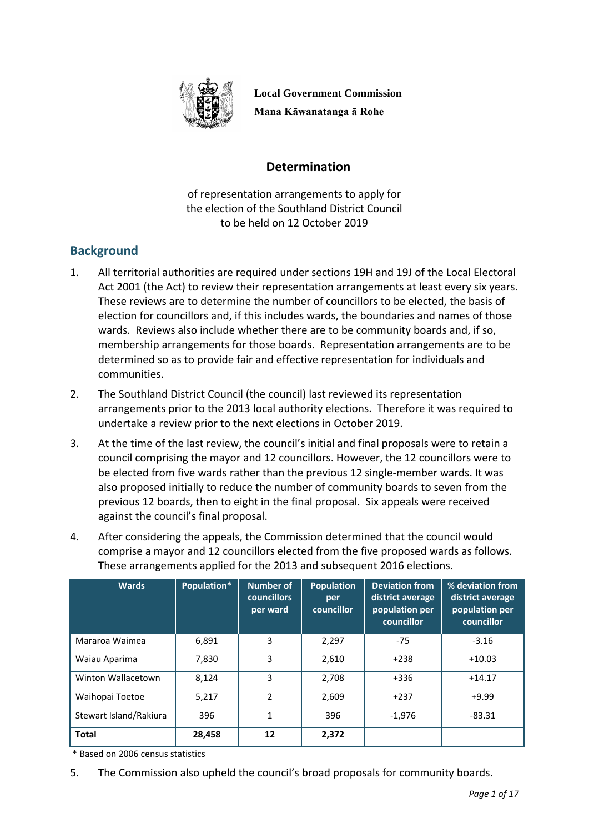

**Local Government Commission Mana Kāwanatanga ā Rohe**

# **Determination**

of representation arrangements to apply for the election of the Southland District Council to be held on 12 October 2019

# **Background**

- 1. All territorial authorities are required under sections 19H and 19J of the Local Electoral Act 2001 (the Act) to review their representation arrangements at least every six years. These reviews are to determine the number of councillors to be elected, the basis of election for councillors and, if this includes wards, the boundaries and names of those wards. Reviews also include whether there are to be community boards and, if so, membership arrangements for those boards. Representation arrangements are to be determined so as to provide fair and effective representation for individuals and communities.
- 2. The Southland District Council (the council) last reviewed its representation arrangements prior to the 2013 local authority elections. Therefore it was required to undertake a review prior to the next elections in October 2019.
- 3. At the time of the last review, the council's initial and final proposals were to retain a council comprising the mayor and 12 councillors. However, the 12 councillors were to be elected from five wards rather than the previous 12 single-member wards. It was also proposed initially to reduce the number of community boards to seven from the previous 12 boards, then to eight in the final proposal. Six appeals were received against the council's final proposal.
- 4. After considering the appeals, the Commission determined that the council would comprise a mayor and 12 councillors elected from the five proposed wards as follows. These arrangements applied for the 2013 and subsequent 2016 elections.

| <b>Wards</b>           | Population* | <b>Number of</b><br><b>councillors</b><br>per ward | <b>Population</b><br>per<br>councillor | <b>Deviation from</b><br>district average<br>population per<br>councillor | % deviation from<br>district average<br>population per<br>councillor |
|------------------------|-------------|----------------------------------------------------|----------------------------------------|---------------------------------------------------------------------------|----------------------------------------------------------------------|
| Mararoa Waimea         | 6,891       | 3                                                  | 2,297                                  | $-75$                                                                     | $-3.16$                                                              |
| Waiau Aparima          | 7,830       | 3                                                  | 2,610                                  | $+238$                                                                    | $+10.03$                                                             |
| Winton Wallacetown     | 8.124       | 3                                                  | 2,708                                  | $+336$                                                                    | $+14.17$                                                             |
| Waihopai Toetoe        | 5.217       | $\mathcal{P}$                                      | 2.609                                  | $+237$                                                                    | $+9.99$                                                              |
| Stewart Island/Rakiura | 396         | 1                                                  | 396                                    | $-1,976$                                                                  | -83.31                                                               |
| <b>Total</b>           | 28,458      | 12                                                 | 2,372                                  |                                                                           |                                                                      |

\* Based on 2006 census statistics

5. The Commission also upheld the council's broad proposals for community boards.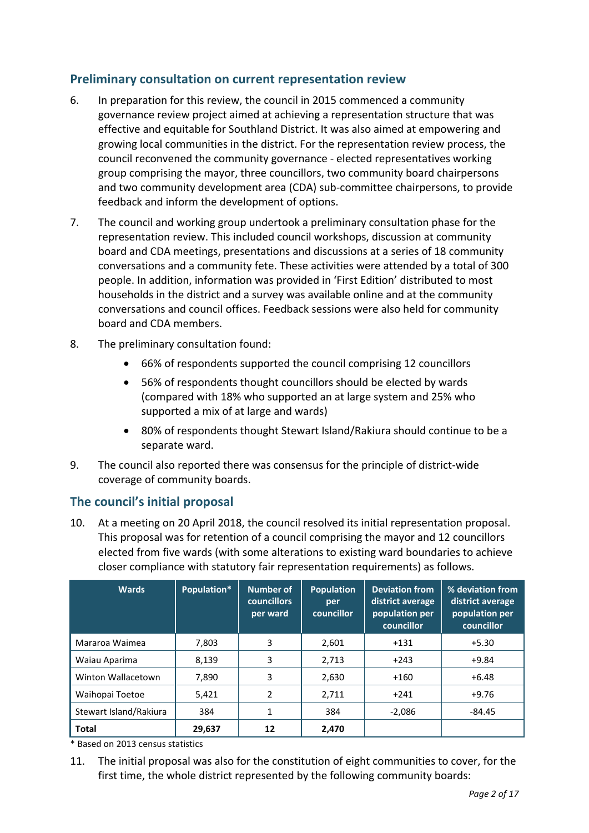# **Preliminary consultation on current representation review**

- 6. In preparation for this review, the council in 2015 commenced a community governance review project aimed at achieving a representation structure that was effective and equitable for Southland District. It was also aimed at empowering and growing local communities in the district. For the representation review process, the council reconvened the community governance - elected representatives working group comprising the mayor, three councillors, two community board chairpersons and two community development area (CDA) sub-committee chairpersons, to provide feedback and inform the development of options.
- 7. The council and working group undertook a preliminary consultation phase for the representation review. This included council workshops, discussion at community board and CDA meetings, presentations and discussions at a series of 18 community conversations and a community fete. These activities were attended by a total of 300 people. In addition, information was provided in 'First Edition' distributed to most households in the district and a survey was available online and at the community conversations and council offices. Feedback sessions were also held for community board and CDA members.
- 8. The preliminary consultation found:
	- 66% of respondents supported the council comprising 12 councillors
	- 56% of respondents thought councillors should be elected by wards (compared with 18% who supported an at large system and 25% who supported a mix of at large and wards)
	- 80% of respondents thought Stewart Island/Rakiura should continue to be a separate ward.
- 9. The council also reported there was consensus for the principle of district-wide coverage of community boards.

# **The council's initial proposal**

10. At a meeting on 20 April 2018, the council resolved its initial representation proposal. This proposal was for retention of a council comprising the mayor and 12 councillors elected from five wards (with some alterations to existing ward boundaries to achieve closer compliance with statutory fair representation requirements) as follows.

| <b>Wards</b>           | Population* | <b>Number of</b><br><b>councillors</b><br>per ward | <b>Population</b><br>per<br>councillor | <b>Deviation from</b><br>district average<br>population per<br>councillor | % deviation from<br>district average<br>population per<br>councillor |
|------------------------|-------------|----------------------------------------------------|----------------------------------------|---------------------------------------------------------------------------|----------------------------------------------------------------------|
| Mararoa Waimea         | 7,803       | 3                                                  | 2,601                                  | $+131$                                                                    | $+5.30$                                                              |
| Waiau Aparima          | 8,139       | 3                                                  | 2,713                                  | $+243$                                                                    | $+9.84$                                                              |
| Winton Wallacetown     | 7,890       | 3                                                  | 2,630                                  | $+160$                                                                    | $+6.48$                                                              |
| Waihopai Toetoe        | 5,421       | 2                                                  | 2,711                                  | $+241$                                                                    | $+9.76$                                                              |
| Stewart Island/Rakiura | 384         | 1                                                  | 384                                    | $-2.086$                                                                  | -84.45                                                               |
| <b>Total</b>           | 29,637      | 12                                                 | 2,470                                  |                                                                           |                                                                      |

\* Based on 2013 census statistics

11. The initial proposal was also for the constitution of eight communities to cover, for the first time, the whole district represented by the following community boards: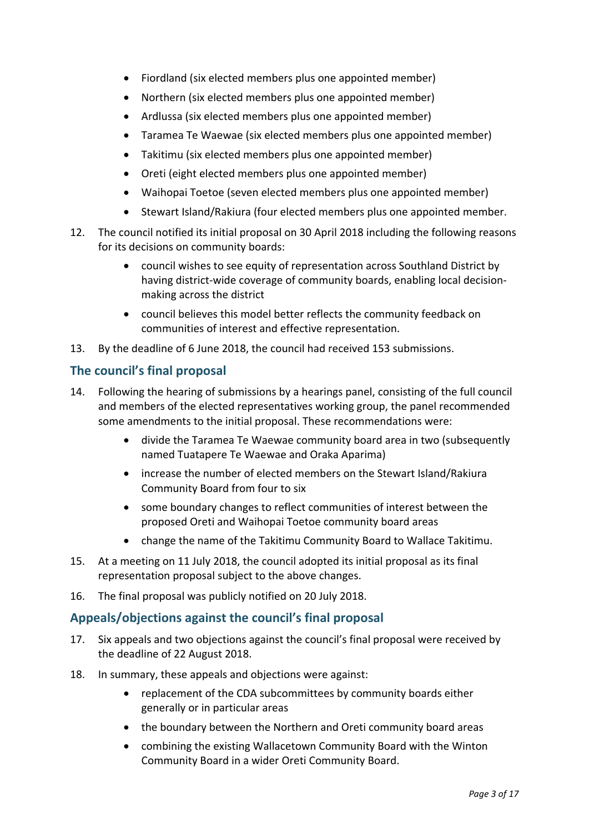- Fiordland (six elected members plus one appointed member)
- Northern (six elected members plus one appointed member)
- Ardlussa (six elected members plus one appointed member)
- Taramea Te Waewae (six elected members plus one appointed member)
- Takitimu (six elected members plus one appointed member)
- Oreti (eight elected members plus one appointed member)
- Waihopai Toetoe (seven elected members plus one appointed member)
- Stewart Island/Rakiura (four elected members plus one appointed member.
- 12. The council notified its initial proposal on 30 April 2018 including the following reasons for its decisions on community boards:
	- council wishes to see equity of representation across Southland District by having district-wide coverage of community boards, enabling local decisionmaking across the district
	- council believes this model better reflects the community feedback on communities of interest and effective representation.
- 13. By the deadline of 6 June 2018, the council had received 153 submissions.

# **The council's final proposal**

- 14. Following the hearing of submissions by a hearings panel, consisting of the full council and members of the elected representatives working group, the panel recommended some amendments to the initial proposal. These recommendations were:
	- divide the Taramea Te Waewae community board area in two (subsequently named Tuatapere Te Waewae and Oraka Aparima)
	- increase the number of elected members on the Stewart Island/Rakiura Community Board from four to six
	- some boundary changes to reflect communities of interest between the proposed Oreti and Waihopai Toetoe community board areas
	- change the name of the Takitimu Community Board to Wallace Takitimu.
- 15. At a meeting on 11 July 2018, the council adopted its initial proposal as its final representation proposal subject to the above changes.
- 16. The final proposal was publicly notified on 20 July 2018.

# **Appeals/objections against the council's final proposal**

- 17. Six appeals and two objections against the council's final proposal were received by the deadline of 22 August 2018.
- 18. In summary, these appeals and objections were against:
	- replacement of the CDA subcommittees by community boards either generally or in particular areas
	- the boundary between the Northern and Oreti community board areas
	- combining the existing Wallacetown Community Board with the Winton Community Board in a wider Oreti Community Board.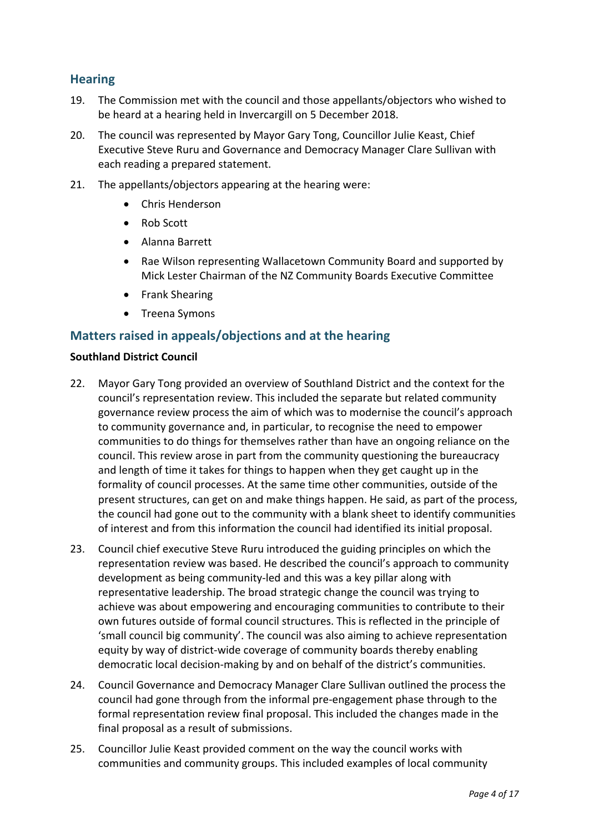# **Hearing**

- 19. The Commission met with the council and those appellants/objectors who wished to be heard at a hearing held in Invercargill on 5 December 2018.
- 20. The council was represented by Mayor Gary Tong, Councillor Julie Keast, Chief Executive Steve Ruru and Governance and Democracy Manager Clare Sullivan with each reading a prepared statement.
- 21. The appellants/objectors appearing at the hearing were:
	- Chris Henderson
	- Rob Scott
	- Alanna Barrett
	- Rae Wilson representing Wallacetown Community Board and supported by Mick Lester Chairman of the NZ Community Boards Executive Committee
	- Frank Shearing
	- Treena Symons

### **Matters raised in appeals/objections and at the hearing**

#### **Southland District Council**

- 22. Mayor Gary Tong provided an overview of Southland District and the context for the council's representation review. This included the separate but related community governance review process the aim of which was to modernise the council's approach to community governance and, in particular, to recognise the need to empower communities to do things for themselves rather than have an ongoing reliance on the council. This review arose in part from the community questioning the bureaucracy and length of time it takes for things to happen when they get caught up in the formality of council processes. At the same time other communities, outside of the present structures, can get on and make things happen. He said, as part of the process, the council had gone out to the community with a blank sheet to identify communities of interest and from this information the council had identified its initial proposal.
- 23. Council chief executive Steve Ruru introduced the guiding principles on which the representation review was based. He described the council's approach to community development as being community-led and this was a key pillar along with representative leadership. The broad strategic change the council was trying to achieve was about empowering and encouraging communities to contribute to their own futures outside of formal council structures. This is reflected in the principle of 'small council big community'. The council was also aiming to achieve representation equity by way of district-wide coverage of community boards thereby enabling democratic local decision-making by and on behalf of the district's communities.
- 24. Council Governance and Democracy Manager Clare Sullivan outlined the process the council had gone through from the informal pre-engagement phase through to the formal representation review final proposal. This included the changes made in the final proposal as a result of submissions.
- 25. Councillor Julie Keast provided comment on the way the council works with communities and community groups. This included examples of local community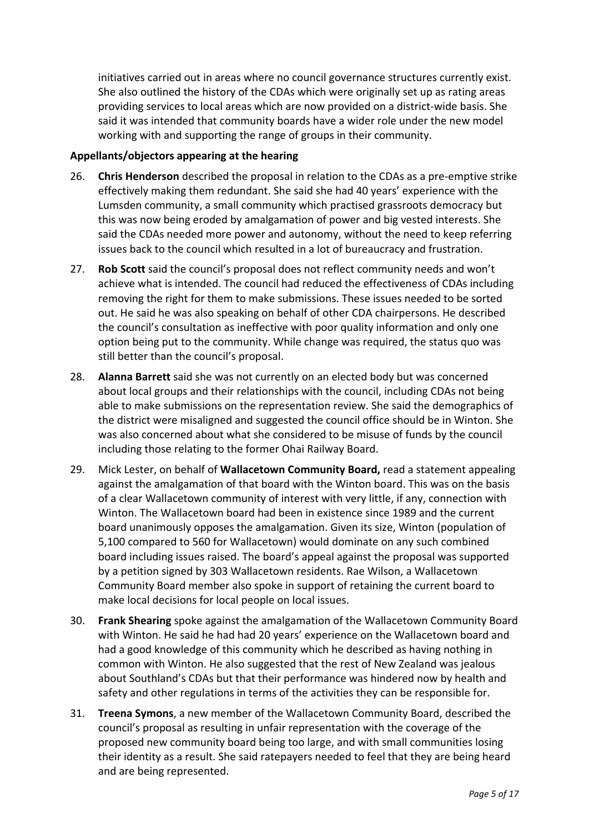initiatives carried out in areas where no council governance structures currently exist. She also outlined the history of the CDAs which were originally set up as rating areas providing services to local areas which are now provided on a district-wide basis. She said it was intended that community boards have a wider role under the new model working with and supporting the range of groups in their community.

#### **Appellants/objectors appearing at the hearing**

- 26. **Chris Henderson** described the proposal in relation to the CDAs as a pre-emptive strike effectively making them redundant. She said she had 40 years' experience with the Lumsden community, a small community which practised grassroots democracy but this was now being eroded by amalgamation of power and big vested interests. She said the CDAs needed more power and autonomy, without the need to keep referring issues back to the council which resulted in a lot of bureaucracy and frustration.
- 27. **Rob Scott** said the council's proposal does not reflect community needs and won't achieve what is intended. The council had reduced the effectiveness of CDAs including removing the right for them to make submissions. These issues needed to be sorted out. He said he was also speaking on behalf of other CDA chairpersons. He described the council's consultation as ineffective with poor quality information and only one option being put to the community. While change was required, the status quo was still better than the council's proposal.
- 28. **Alanna Barrett** said she was not currently on an elected body but was concerned about local groups and their relationships with the council, including CDAs not being able to make submissions on the representation review. She said the demographics of the district were misaligned and suggested the council office should be in Winton. She was also concerned about what she considered to be misuse of funds by the council including those relating to the former Ohai Railway Board.
- 29. Mick Lester, on behalf of **Wallacetown Community Board,** read a statement appealing against the amalgamation of that board with the Winton board. This was on the basis of a clear Wallacetown community of interest with very little, if any, connection with Winton. The Wallacetown board had been in existence since 1989 and the current board unanimously opposes the amalgamation. Given its size, Winton (population of 5,100 compared to 560 for Wallacetown) would dominate on any such combined board including issues raised. The board's appeal against the proposal was supported by a petition signed by 303 Wallacetown residents. Rae Wilson, a Wallacetown Community Board member also spoke in support of retaining the current board to make local decisions for local people on local issues.
- 30. **Frank Shearing** spoke against the amalgamation of the Wallacetown Community Board with Winton. He said he had had 20 years' experience on the Wallacetown board and had a good knowledge of this community which he described as having nothing in common with Winton. He also suggested that the rest of New Zealand was jealous about Southland's CDAs but that their performance was hindered now by health and safety and other regulations in terms of the activities they can be responsible for.
- 31. **Treena Symons**, a new member of the Wallacetown Community Board, described the council's proposal as resulting in unfair representation with the coverage of the proposed new community board being too large, and with small communities losing their identity as a result. She said ratepayers needed to feel that they are being heard and are being represented.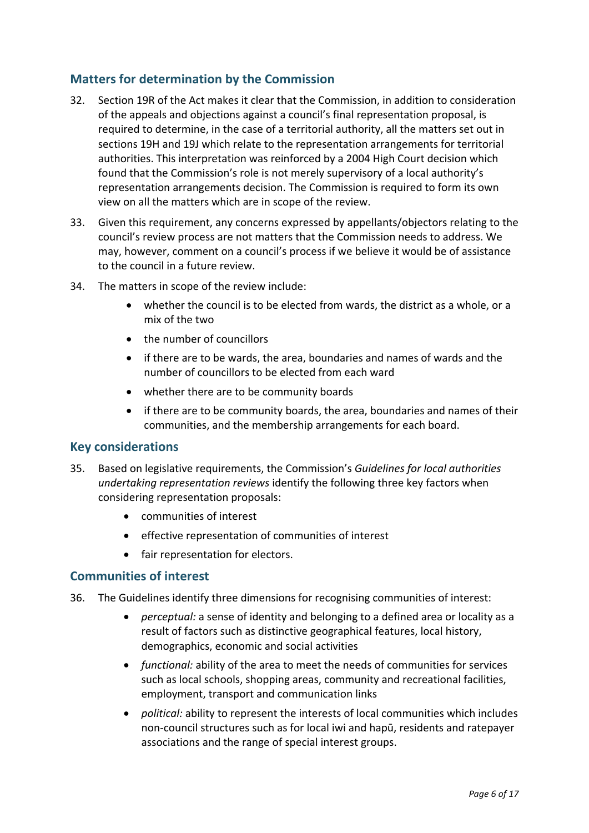# **Matters for determination by the Commission**

- 32. Section 19R of the Act makes it clear that the Commission, in addition to consideration of the appeals and objections against a council's final representation proposal, is required to determine, in the case of a territorial authority, all the matters set out in sections 19H and 19J which relate to the representation arrangements for territorial authorities. This interpretation was reinforced by a 2004 High Court decision which found that the Commission's role is not merely supervisory of a local authority's representation arrangements decision. The Commission is required to form its own view on all the matters which are in scope of the review.
- 33. Given this requirement, any concerns expressed by appellants/objectors relating to the council's review process are not matters that the Commission needs to address. We may, however, comment on a council's process if we believe it would be of assistance to the council in a future review.
- 34. The matters in scope of the review include:
	- whether the council is to be elected from wards, the district as a whole, or a mix of the two
	- the number of councillors
	- if there are to be wards, the area, boundaries and names of wards and the number of councillors to be elected from each ward
	- whether there are to be community boards
	- if there are to be community boards, the area, boundaries and names of their communities, and the membership arrangements for each board.

### **Key considerations**

- 35. Based on legislative requirements, the Commission's *Guidelines for local authorities undertaking representation reviews* identify the following three key factors when considering representation proposals:
	- communities of interest
	- effective representation of communities of interest
	- fair representation for electors.

### **Communities of interest**

- 36. The Guidelines identify three dimensions for recognising communities of interest:
	- *perceptual:* a sense of identity and belonging to a defined area or locality as a result of factors such as distinctive geographical features, local history, demographics, economic and social activities
	- *functional:* ability of the area to meet the needs of communities for services such as local schools, shopping areas, community and recreational facilities, employment, transport and communication links
	- *political:* ability to represent the interests of local communities which includes non-council structures such as for local iwi and hapū, residents and ratepayer associations and the range of special interest groups.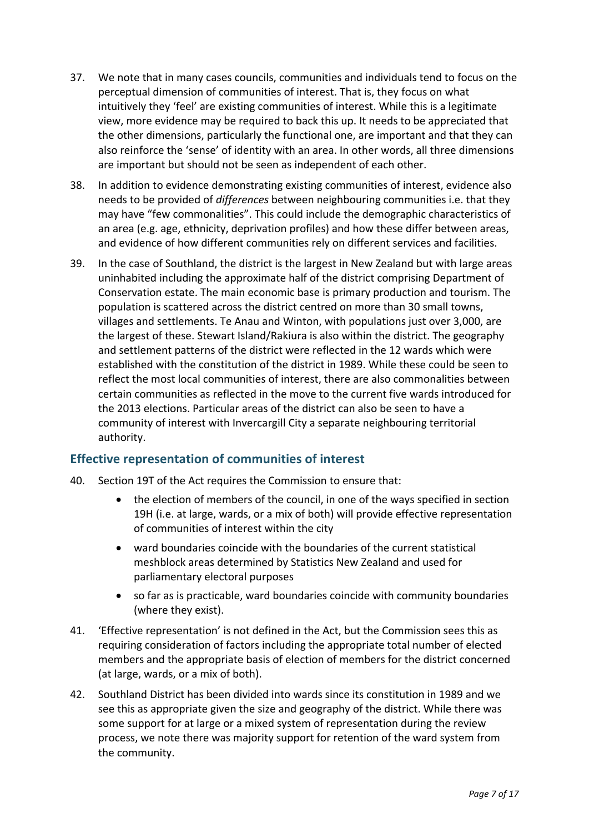- 37. We note that in many cases councils, communities and individuals tend to focus on the perceptual dimension of communities of interest. That is, they focus on what intuitively they 'feel' are existing communities of interest. While this is a legitimate view, more evidence may be required to back this up. It needs to be appreciated that the other dimensions, particularly the functional one, are important and that they can also reinforce the 'sense' of identity with an area. In other words, all three dimensions are important but should not be seen as independent of each other.
- 38. In addition to evidence demonstrating existing communities of interest, evidence also needs to be provided of *differences* between neighbouring communities i.e. that they may have "few commonalities". This could include the demographic characteristics of an area (e.g. age, ethnicity, deprivation profiles) and how these differ between areas, and evidence of how different communities rely on different services and facilities.
- 39. In the case of Southland, the district is the largest in New Zealand but with large areas uninhabited including the approximate half of the district comprising Department of Conservation estate. The main economic base is primary production and tourism. The population is scattered across the district centred on more than 30 small towns, villages and settlements. Te Anau and Winton, with populations just over 3,000, are the largest of these. Stewart Island/Rakiura is also within the district. The geography and settlement patterns of the district were reflected in the 12 wards which were established with the constitution of the district in 1989. While these could be seen to reflect the most local communities of interest, there are also commonalities between certain communities as reflected in the move to the current five wards introduced for the 2013 elections. Particular areas of the district can also be seen to have a community of interest with Invercargill City a separate neighbouring territorial authority.

# **Effective representation of communities of interest**

- 40. Section 19T of the Act requires the Commission to ensure that:
	- the election of members of the council, in one of the ways specified in section 19H (i.e. at large, wards, or a mix of both) will provide effective representation of communities of interest within the city
	- ward boundaries coincide with the boundaries of the current statistical meshblock areas determined by Statistics New Zealand and used for parliamentary electoral purposes
	- so far as is practicable, ward boundaries coincide with community boundaries (where they exist).
- 41. 'Effective representation' is not defined in the Act, but the Commission sees this as requiring consideration of factors including the appropriate total number of elected members and the appropriate basis of election of members for the district concerned (at large, wards, or a mix of both).
- 42. Southland District has been divided into wards since its constitution in 1989 and we see this as appropriate given the size and geography of the district. While there was some support for at large or a mixed system of representation during the review process, we note there was majority support for retention of the ward system from the community.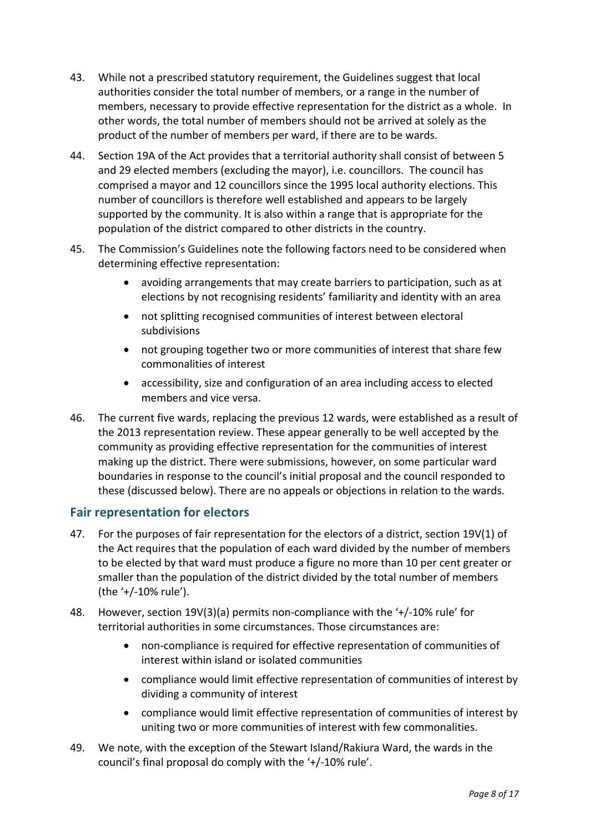- 43. While not a prescribed statutory requirement, the Guidelines suggest that local authorities consider the total number of members, or a range in the number of members, necessary to provide effective representation for the district as a whole. In other words, the total number of members should not be arrived at solely as the product of the number of members per ward, if there are to be wards.
- 44. Section 19A of the Act provides that a territorial authority shall consist of between 5 and 29 elected members (excluding the mayor), i.e. councillors. The council has comprised a mayor and 12 councillors since the 1995 local authority elections. This number of councillors is therefore well established and appears to be largely supported by the community. It is also within a range that is appropriate for the population of the district compared to other districts in the country.
- 45. The Commission's Guidelines note the following factors need to be considered when determining effective representation:
	- avoiding arrangements that may create barriers to participation, such as at elections by not recognising residents' familiarity and identity with an area
	- not splitting recognised communities of interest between electoral subdivisions
	- not grouping together two or more communities of interest that share few commonalities of interest
	- accessibility, size and configuration of an area including access to elected members and vice versa.
- 46. The current five wards, replacing the previous 12 wards, were established as a result of the 2013 representation review. These appear generally to be well accepted by the community as providing effective representation for the communities of interest making up the district. There were submissions, however, on some particular ward boundaries in response to the council's initial proposal and the council responded to these (discussed below). There are no appeals or objections in relation to the wards.

# **Fair representation for electors**

- 47. For the purposes of fair representation for the electors of a district, section 19V(1) of the Act requires that the population of each ward divided by the number of members to be elected by that ward must produce a figure no more than 10 per cent greater or smaller than the population of the district divided by the total number of members (the '+/-10% rule').
- 48. However, section 19V(3)(a) permits non-compliance with the '+/-10% rule' for territorial authorities in some circumstances. Those circumstances are:
	- non-compliance is required for effective representation of communities of interest within island or isolated communities
	- compliance would limit effective representation of communities of interest by dividing a community of interest
	- compliance would limit effective representation of communities of interest by uniting two or more communities of interest with few commonalities.
- 49. We note, with the exception of the Stewart Island/Rakiura Ward, the wards in the council's final proposal do comply with the '+/-10% rule'.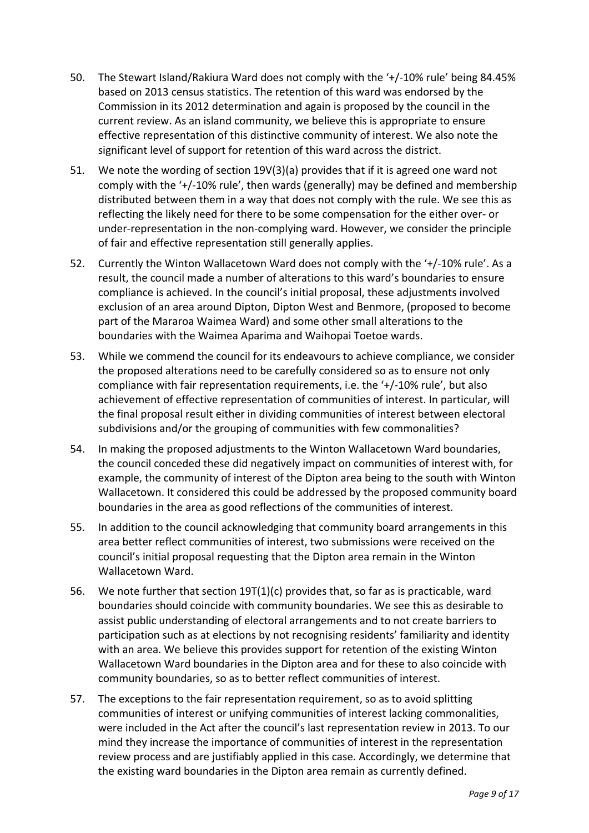- 50. The Stewart Island/Rakiura Ward does not comply with the '+/-10% rule' being 84.45% based on 2013 census statistics. The retention of this ward was endorsed by the Commission in its 2012 determination and again is proposed by the council in the current review. As an island community, we believe this is appropriate to ensure effective representation of this distinctive community of interest. We also note the significant level of support for retention of this ward across the district.
- 51. We note the wording of section 19V(3)(a) provides that if it is agreed one ward not comply with the '+/-10% rule', then wards (generally) may be defined and membership distributed between them in a way that does not comply with the rule. We see this as reflecting the likely need for there to be some compensation for the either over- or under-representation in the non-complying ward. However, we consider the principle of fair and effective representation still generally applies.
- 52. Currently the Winton Wallacetown Ward does not comply with the '+/-10% rule'. As a result, the council made a number of alterations to this ward's boundaries to ensure compliance is achieved. In the council's initial proposal, these adjustments involved exclusion of an area around Dipton, Dipton West and Benmore, (proposed to become part of the Mararoa Waimea Ward) and some other small alterations to the boundaries with the Waimea Aparima and Waihopai Toetoe wards.
- 53. While we commend the council for its endeavours to achieve compliance, we consider the proposed alterations need to be carefully considered so as to ensure not only compliance with fair representation requirements, i.e. the '+/-10% rule', but also achievement of effective representation of communities of interest. In particular, will the final proposal result either in dividing communities of interest between electoral subdivisions and/or the grouping of communities with few commonalities?
- 54. In making the proposed adjustments to the Winton Wallacetown Ward boundaries, the council conceded these did negatively impact on communities of interest with, for example, the community of interest of the Dipton area being to the south with Winton Wallacetown. It considered this could be addressed by the proposed community board boundaries in the area as good reflections of the communities of interest.
- 55. In addition to the council acknowledging that community board arrangements in this area better reflect communities of interest, two submissions were received on the council's initial proposal requesting that the Dipton area remain in the Winton Wallacetown Ward.
- 56. We note further that section 19T(1)(c) provides that, so far as is practicable, ward boundaries should coincide with community boundaries. We see this as desirable to assist public understanding of electoral arrangements and to not create barriers to participation such as at elections by not recognising residents' familiarity and identity with an area. We believe this provides support for retention of the existing Winton Wallacetown Ward boundaries in the Dipton area and for these to also coincide with community boundaries, so as to better reflect communities of interest.
- 57. The exceptions to the fair representation requirement, so as to avoid splitting communities of interest or unifying communities of interest lacking commonalities, were included in the Act after the council's last representation review in 2013. To our mind they increase the importance of communities of interest in the representation review process and are justifiably applied in this case. Accordingly, we determine that the existing ward boundaries in the Dipton area remain as currently defined.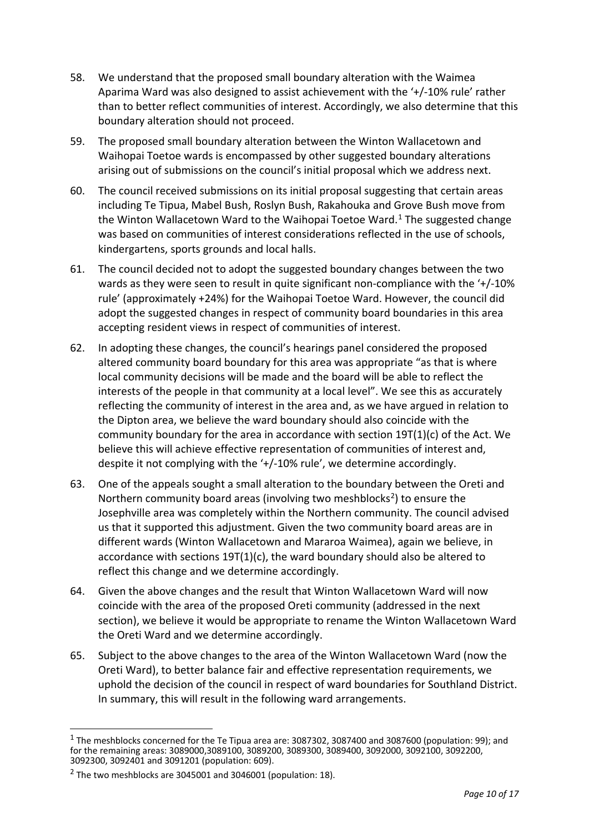- 58. We understand that the proposed small boundary alteration with the Waimea Aparima Ward was also designed to assist achievement with the '+/-10% rule' rather than to better reflect communities of interest. Accordingly, we also determine that this boundary alteration should not proceed.
- 59. The proposed small boundary alteration between the Winton Wallacetown and Waihopai Toetoe wards is encompassed by other suggested boundary alterations arising out of submissions on the council's initial proposal which we address next.
- 60. The council received submissions on its initial proposal suggesting that certain areas including Te Tipua, Mabel Bush, Roslyn Bush, Rakahouka and Grove Bush move from the Winton Wallacetown Ward to the Waihopai Toetoe Ward.<sup>[1](#page-9-0)</sup> The suggested change was based on communities of interest considerations reflected in the use of schools, kindergartens, sports grounds and local halls.
- 61. The council decided not to adopt the suggested boundary changes between the two wards as they were seen to result in quite significant non-compliance with the '+/-10% rule' (approximately +24%) for the Waihopai Toetoe Ward. However, the council did adopt the suggested changes in respect of community board boundaries in this area accepting resident views in respect of communities of interest.
- 62. In adopting these changes, the council's hearings panel considered the proposed altered community board boundary for this area was appropriate "as that is where local community decisions will be made and the board will be able to reflect the interests of the people in that community at a local level". We see this as accurately reflecting the community of interest in the area and, as we have argued in relation to the Dipton area, we believe the ward boundary should also coincide with the community boundary for the area in accordance with section 19T(1)(c) of the Act. We believe this will achieve effective representation of communities of interest and, despite it not complying with the '+/-10% rule', we determine accordingly.
- 63. One of the appeals sought a small alteration to the boundary between the Oreti and Northern community board areas (involving two meshblocks<sup>[2](#page-9-1)</sup>) to ensure the Josephville area was completely within the Northern community. The council advised us that it supported this adjustment. Given the two community board areas are in different wards (Winton Wallacetown and Mararoa Waimea), again we believe, in accordance with sections 19T(1)(c), the ward boundary should also be altered to reflect this change and we determine accordingly.
- 64. Given the above changes and the result that Winton Wallacetown Ward will now coincide with the area of the proposed Oreti community (addressed in the next section), we believe it would be appropriate to rename the Winton Wallacetown Ward the Oreti Ward and we determine accordingly.
- 65. Subject to the above changes to the area of the Winton Wallacetown Ward (now the Oreti Ward), to better balance fair and effective representation requirements, we uphold the decision of the council in respect of ward boundaries for Southland District. In summary, this will result in the following ward arrangements.

<span id="page-9-0"></span><sup>&</sup>lt;sup>1</sup> The meshblocks concerned for the Te Tipua area are: 3087302, 3087400 and 3087600 (population: 99); and for the remaining areas: 3089000,3089100, 3089200, 3089300, 3089400, 3092000, 3092100, 3092200, 3092300, 3092401 and 3091201 (population: 609).

<span id="page-9-1"></span> $2$  The two meshblocks are 3045001 and 3046001 (population: 18).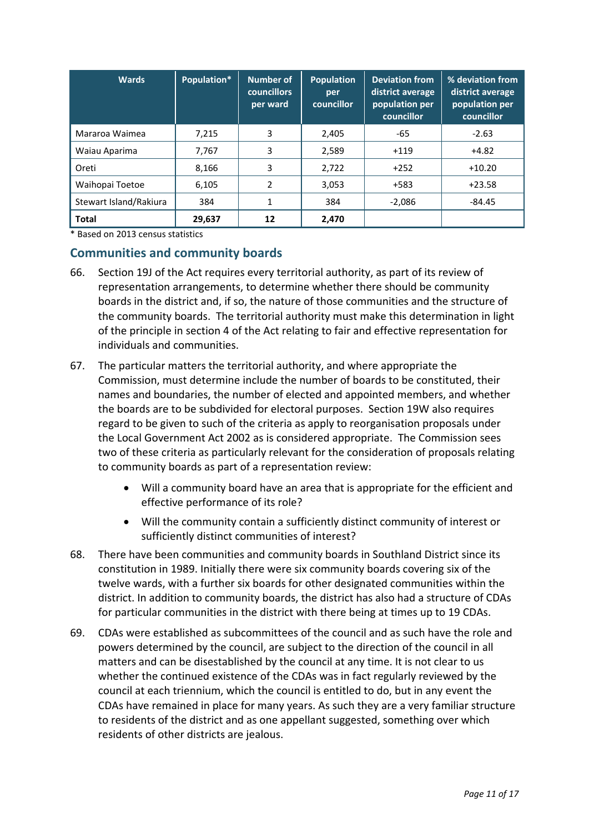| <b>Wards</b>           | Population* | <b>Number of</b><br><b>councillors</b><br>per ward | <b>Population</b><br>per<br>councillor | <b>Deviation from</b><br>district average<br>population per<br>councillor | % deviation from<br>district average<br>population per<br>councillor |
|------------------------|-------------|----------------------------------------------------|----------------------------------------|---------------------------------------------------------------------------|----------------------------------------------------------------------|
| Mararoa Waimea         | 7,215       | 3                                                  | 2,405                                  | -65                                                                       | $-2.63$                                                              |
| Waiau Aparima          | 7,767       | 3                                                  | 2,589                                  | $+119$                                                                    | $+4.82$                                                              |
| Oreti                  | 8.166       | 3                                                  | 2,722                                  | $+252$                                                                    | $+10.20$                                                             |
| Waihopai Toetoe        | 6,105       | 2                                                  | 3,053                                  | +583                                                                      | $+23.58$                                                             |
| Stewart Island/Rakiura | 384         | 1                                                  | 384                                    | $-2,086$                                                                  | $-84.45$                                                             |
| <b>Total</b>           | 29,637      | 12                                                 | 2,470                                  |                                                                           |                                                                      |

\* Based on 2013 census statistics

### **Communities and community boards**

- 66. Section 19J of the Act requires every territorial authority, as part of its review of representation arrangements, to determine whether there should be community boards in the district and, if so, the nature of those communities and the structure of the community boards. The territorial authority must make this determination in light of the principle in section 4 of the Act relating to fair and effective representation for individuals and communities.
- 67. The particular matters the territorial authority, and where appropriate the Commission, must determine include the number of boards to be constituted, their names and boundaries, the number of elected and appointed members, and whether the boards are to be subdivided for electoral purposes. Section 19W also requires regard to be given to such of the criteria as apply to reorganisation proposals under the Local Government Act 2002 as is considered appropriate. The Commission sees two of these criteria as particularly relevant for the consideration of proposals relating to community boards as part of a representation review:
	- Will a community board have an area that is appropriate for the efficient and effective performance of its role?
	- Will the community contain a sufficiently distinct community of interest or sufficiently distinct communities of interest?
- 68. There have been communities and community boards in Southland District since its constitution in 1989. Initially there were six community boards covering six of the twelve wards, with a further six boards for other designated communities within the district. In addition to community boards, the district has also had a structure of CDAs for particular communities in the district with there being at times up to 19 CDAs.
- 69. CDAs were established as subcommittees of the council and as such have the role and powers determined by the council, are subject to the direction of the council in all matters and can be disestablished by the council at any time. It is not clear to us whether the continued existence of the CDAs was in fact regularly reviewed by the council at each triennium, which the council is entitled to do, but in any event the CDAs have remained in place for many years. As such they are a very familiar structure to residents of the district and as one appellant suggested, something over which residents of other districts are jealous.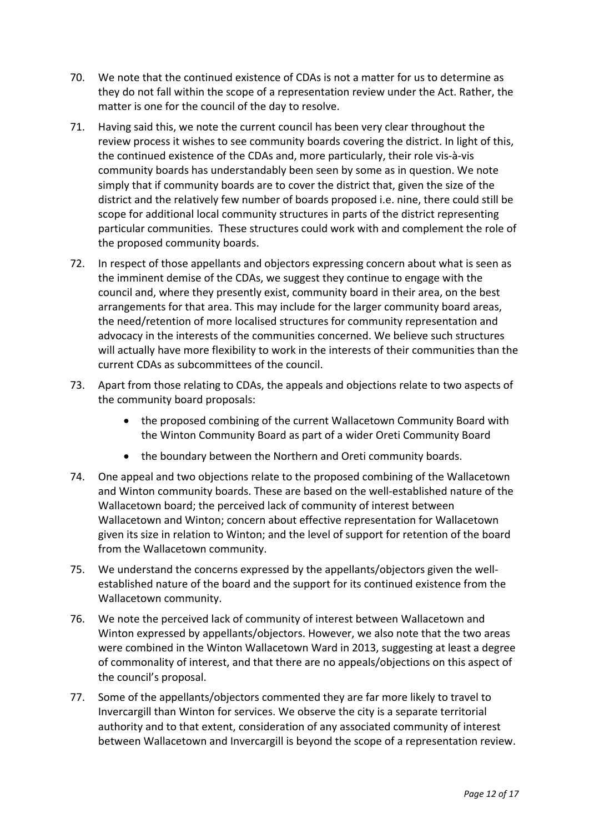- 70. We note that the continued existence of CDAs is not a matter for us to determine as they do not fall within the scope of a representation review under the Act. Rather, the matter is one for the council of the day to resolve.
- 71. Having said this, we note the current council has been very clear throughout the review process it wishes to see community boards covering the district. In light of this, the continued existence of the CDAs and, more particularly, their role vis-à-vis community boards has understandably been seen by some as in question. We note simply that if community boards are to cover the district that, given the size of the district and the relatively few number of boards proposed i.e. nine, there could still be scope for additional local community structures in parts of the district representing particular communities. These structures could work with and complement the role of the proposed community boards.
- 72. In respect of those appellants and objectors expressing concern about what is seen as the imminent demise of the CDAs, we suggest they continue to engage with the council and, where they presently exist, community board in their area, on the best arrangements for that area. This may include for the larger community board areas, the need/retention of more localised structures for community representation and advocacy in the interests of the communities concerned. We believe such structures will actually have more flexibility to work in the interests of their communities than the current CDAs as subcommittees of the council.
- 73. Apart from those relating to CDAs, the appeals and objections relate to two aspects of the community board proposals:
	- the proposed combining of the current Wallacetown Community Board with the Winton Community Board as part of a wider Oreti Community Board
	- the boundary between the Northern and Oreti community boards.
- 74. One appeal and two objections relate to the proposed combining of the Wallacetown and Winton community boards. These are based on the well-established nature of the Wallacetown board; the perceived lack of community of interest between Wallacetown and Winton; concern about effective representation for Wallacetown given its size in relation to Winton; and the level of support for retention of the board from the Wallacetown community.
- 75. We understand the concerns expressed by the appellants/objectors given the wellestablished nature of the board and the support for its continued existence from the Wallacetown community.
- 76. We note the perceived lack of community of interest between Wallacetown and Winton expressed by appellants/objectors. However, we also note that the two areas were combined in the Winton Wallacetown Ward in 2013, suggesting at least a degree of commonality of interest, and that there are no appeals/objections on this aspect of the council's proposal.
- 77. Some of the appellants/objectors commented they are far more likely to travel to Invercargill than Winton for services. We observe the city is a separate territorial authority and to that extent, consideration of any associated community of interest between Wallacetown and Invercargill is beyond the scope of a representation review.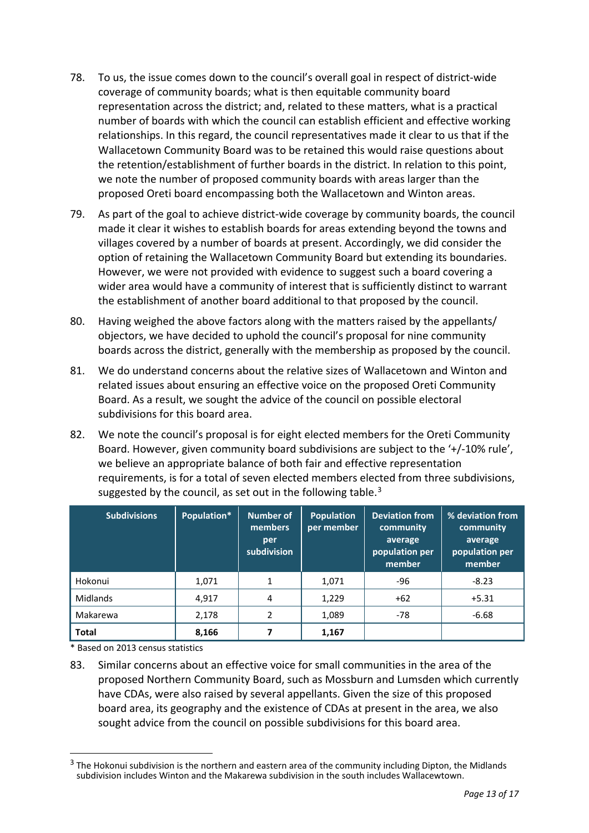- 78. To us, the issue comes down to the council's overall goal in respect of district-wide coverage of community boards; what is then equitable community board representation across the district; and, related to these matters, what is a practical number of boards with which the council can establish efficient and effective working relationships. In this regard, the council representatives made it clear to us that if the Wallacetown Community Board was to be retained this would raise questions about the retention/establishment of further boards in the district. In relation to this point, we note the number of proposed community boards with areas larger than the proposed Oreti board encompassing both the Wallacetown and Winton areas.
- 79. As part of the goal to achieve district-wide coverage by community boards, the council made it clear it wishes to establish boards for areas extending beyond the towns and villages covered by a number of boards at present. Accordingly, we did consider the option of retaining the Wallacetown Community Board but extending its boundaries. However, we were not provided with evidence to suggest such a board covering a wider area would have a community of interest that is sufficiently distinct to warrant the establishment of another board additional to that proposed by the council.
- 80. Having weighed the above factors along with the matters raised by the appellants/ objectors, we have decided to uphold the council's proposal for nine community boards across the district, generally with the membership as proposed by the council.
- 81. We do understand concerns about the relative sizes of Wallacetown and Winton and related issues about ensuring an effective voice on the proposed Oreti Community Board. As a result, we sought the advice of the council on possible electoral subdivisions for this board area.
- 82. We note the council's proposal is for eight elected members for the Oreti Community Board. However, given community board subdivisions are subject to the '+/-10% rule', we believe an appropriate balance of both fair and effective representation requirements, is for a total of seven elected members elected from three subdivisions, suggested by the council, as set out in the following table. $3$

| <b>Subdivisions</b> | Population* | Number of<br>members<br>per<br>subdivision | <b>Population</b><br>per member | <b>Deviation from</b><br>community<br>average<br>population per<br>member | % deviation from<br>community<br>average<br>population per<br>member |
|---------------------|-------------|--------------------------------------------|---------------------------------|---------------------------------------------------------------------------|----------------------------------------------------------------------|
| Hokonui             | 1,071       | $\mathbf{1}$                               | 1,071                           | $-96$                                                                     | $-8.23$                                                              |
| Midlands            | 4.917       | 4                                          | 1,229                           | $+62$                                                                     | $+5.31$                                                              |
| Makarewa            | 2,178       | 2                                          | 1,089                           | $-78$                                                                     | $-6.68$                                                              |
| <b>Total</b>        | 8,166       |                                            | 1,167                           |                                                                           |                                                                      |

\* Based on 2013 census statistics

83. Similar concerns about an effective voice for small communities in the area of the proposed Northern Community Board, such as Mossburn and Lumsden which currently have CDAs, were also raised by several appellants. Given the size of this proposed board area, its geography and the existence of CDAs at present in the area, we also sought advice from the council on possible subdivisions for this board area.

<span id="page-12-0"></span><sup>&</sup>lt;sup>3</sup> The Hokonui subdivision is the northern and eastern area of the community including Dipton, the Midlands subdivision includes Winton and the Makarewa subdivision in the south includes Wallacewtown.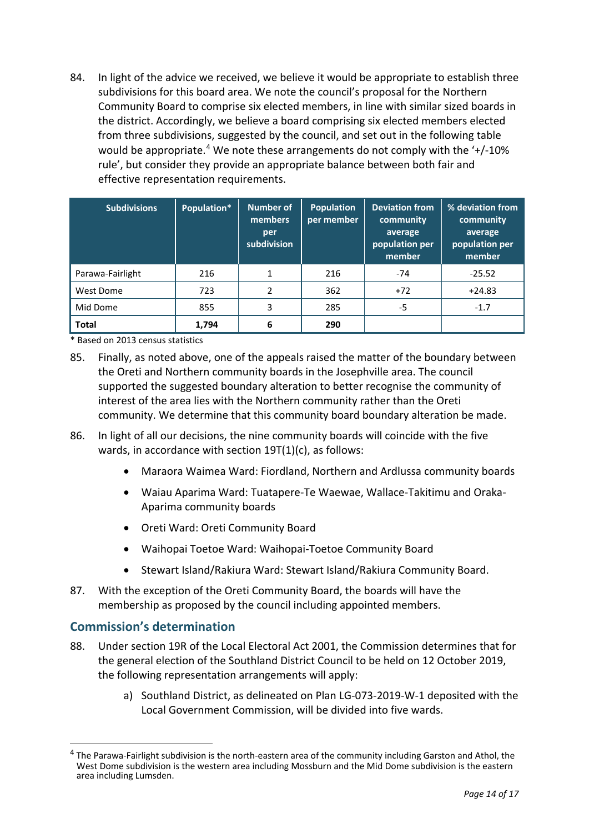84. In light of the advice we received, we believe it would be appropriate to establish three subdivisions for this board area. We note the council's proposal for the Northern Community Board to comprise six elected members, in line with similar sized boards in the district. Accordingly, we believe a board comprising six elected members elected from three subdivisions, suggested by the council, and set out in the following table would be appropriate.<sup>[4](#page-13-0)</sup> We note these arrangements do not comply with the  $'+$ /-10% rule', but consider they provide an appropriate balance between both fair and effective representation requirements.

| <b>Subdivisions</b> | Population* | Number of<br>members<br>per<br>subdivision | <b>Population</b><br>per member | <b>Deviation from</b><br>community<br>average<br>population per<br>member | % deviation from<br>community<br>average<br>population per<br>member |
|---------------------|-------------|--------------------------------------------|---------------------------------|---------------------------------------------------------------------------|----------------------------------------------------------------------|
| Parawa-Fairlight    | 216         | 1                                          | 216                             | $-74$                                                                     | $-25.52$                                                             |
| West Dome           | 723         | 2                                          | 362                             | $+72$                                                                     | $+24.83$                                                             |
| Mid Dome            | 855         | 3                                          | 285                             | -5                                                                        | $-1.7$                                                               |
| <b>Total</b>        | 1,794       | 6                                          | 290                             |                                                                           |                                                                      |

\* Based on 2013 census statistics

- 85. Finally, as noted above, one of the appeals raised the matter of the boundary between the Oreti and Northern community boards in the Josephville area. The council supported the suggested boundary alteration to better recognise the community of interest of the area lies with the Northern community rather than the Oreti community. We determine that this community board boundary alteration be made.
- 86. In light of all our decisions, the nine community boards will coincide with the five wards, in accordance with section 19T(1)(c), as follows:
	- Maraora Waimea Ward: Fiordland, Northern and Ardlussa community boards
	- Waiau Aparima Ward: Tuatapere-Te Waewae, Wallace-Takitimu and Oraka-Aparima community boards
	- Oreti Ward: Oreti Community Board
	- Waihopai Toetoe Ward: Waihopai-Toetoe Community Board
	- Stewart Island/Rakiura Ward: Stewart Island/Rakiura Community Board.
- 87. With the exception of the Oreti Community Board, the boards will have the membership as proposed by the council including appointed members.

### **Commission's determination**

- 88. Under section 19R of the Local Electoral Act 2001, the Commission determines that for the general election of the Southland District Council to be held on 12 October 2019, the following representation arrangements will apply:
	- a) Southland District, as delineated on Plan LG-073-2019-W-1 deposited with the Local Government Commission, will be divided into five wards.

<span id="page-13-0"></span> $^4$  The Parawa-Fairlight subdivision is the north-eastern area of the community including Garston and Athol, the West Dome subdivision is the western area including Mossburn and the Mid Dome subdivision is the eastern area including Lumsden.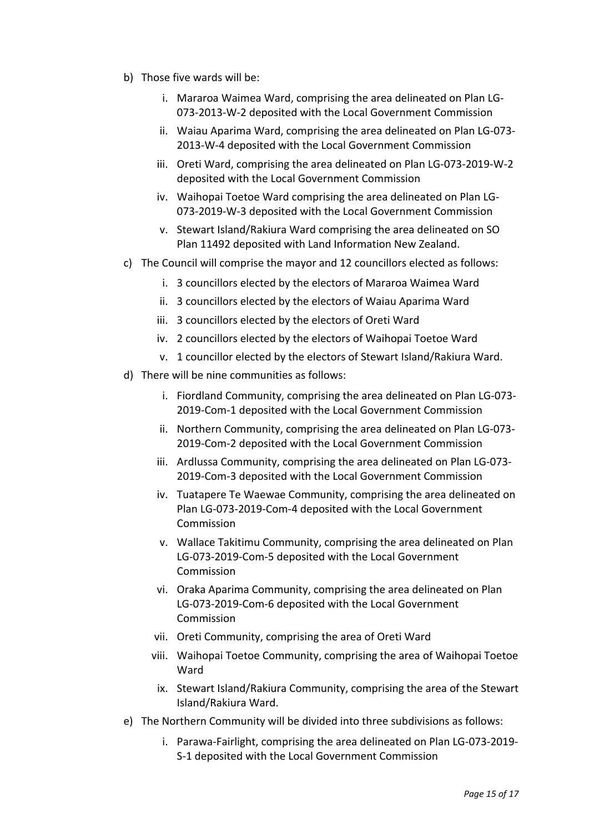- b) Those five wards will be:
	- i. Mararoa Waimea Ward, comprising the area delineated on Plan LG-073-2013-W-2 deposited with the Local Government Commission
	- ii. Waiau Aparima Ward, comprising the area delineated on Plan LG-073- 2013-W-4 deposited with the Local Government Commission
	- iii. Oreti Ward, comprising the area delineated on Plan LG-073-2019-W-2 deposited with the Local Government Commission
	- iv. Waihopai Toetoe Ward comprising the area delineated on Plan LG-073-2019-W-3 deposited with the Local Government Commission
	- v. Stewart Island/Rakiura Ward comprising the area delineated on SO Plan 11492 deposited with Land Information New Zealand.
- c) The Council will comprise the mayor and 12 councillors elected as follows:
	- i. 3 councillors elected by the electors of Mararoa Waimea Ward
	- ii. 3 councillors elected by the electors of Waiau Aparima Ward
	- iii. 3 councillors elected by the electors of Oreti Ward
	- iv. 2 councillors elected by the electors of Waihopai Toetoe Ward
	- v. 1 councillor elected by the electors of Stewart Island/Rakiura Ward.
- d) There will be nine communities as follows:
	- i. Fiordland Community, comprising the area delineated on Plan LG-073- 2019-Com-1 deposited with the Local Government Commission
	- ii. Northern Community, comprising the area delineated on Plan LG-073- 2019-Com-2 deposited with the Local Government Commission
	- iii. Ardlussa Community, comprising the area delineated on Plan LG-073- 2019-Com-3 deposited with the Local Government Commission
	- iv. Tuatapere Te Waewae Community, comprising the area delineated on Plan LG-073-2019-Com-4 deposited with the Local Government Commission
	- v. Wallace Takitimu Community, comprising the area delineated on Plan LG-073-2019-Com-5 deposited with the Local Government Commission
	- vi. Oraka Aparima Community, comprising the area delineated on Plan LG-073-2019-Com-6 deposited with the Local Government Commission
	- vii. Oreti Community, comprising the area of Oreti Ward
	- viii. Waihopai Toetoe Community, comprising the area of Waihopai Toetoe **Ward**
	- ix. Stewart Island/Rakiura Community, comprising the area of the Stewart Island/Rakiura Ward.
- e) The Northern Community will be divided into three subdivisions as follows:
	- i. Parawa-Fairlight, comprising the area delineated on Plan LG-073-2019- S-1 deposited with the Local Government Commission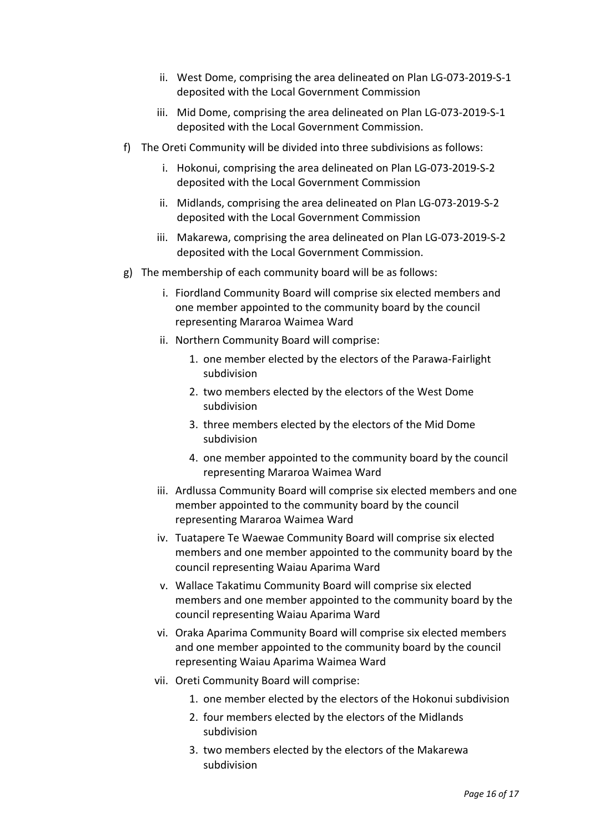- ii. West Dome, comprising the area delineated on Plan LG-073-2019-S-1 deposited with the Local Government Commission
- iii. Mid Dome, comprising the area delineated on Plan LG-073-2019-S-1 deposited with the Local Government Commission.
- f) The Oreti Community will be divided into three subdivisions as follows:
	- i. Hokonui, comprising the area delineated on Plan LG-073-2019-S-2 deposited with the Local Government Commission
	- ii. Midlands, comprising the area delineated on Plan LG-073-2019-S-2 deposited with the Local Government Commission
	- iii. Makarewa, comprising the area delineated on Plan LG-073-2019-S-2 deposited with the Local Government Commission.
- g) The membership of each community board will be as follows:
	- i. Fiordland Community Board will comprise six elected members and one member appointed to the community board by the council representing Mararoa Waimea Ward
	- ii. Northern Community Board will comprise:
		- 1. one member elected by the electors of the Parawa-Fairlight subdivision
		- 2. two members elected by the electors of the West Dome subdivision
		- 3. three members elected by the electors of the Mid Dome subdivision
		- 4. one member appointed to the community board by the council representing Mararoa Waimea Ward
	- iii. Ardlussa Community Board will comprise six elected members and one member appointed to the community board by the council representing Mararoa Waimea Ward
	- iv. Tuatapere Te Waewae Community Board will comprise six elected members and one member appointed to the community board by the council representing Waiau Aparima Ward
	- v. Wallace Takatimu Community Board will comprise six elected members and one member appointed to the community board by the council representing Waiau Aparima Ward
	- vi. Oraka Aparima Community Board will comprise six elected members and one member appointed to the community board by the council representing Waiau Aparima Waimea Ward
	- vii. Oreti Community Board will comprise:
		- 1. one member elected by the electors of the Hokonui subdivision
		- 2. four members elected by the electors of the Midlands subdivision
		- 3. two members elected by the electors of the Makarewa subdivision